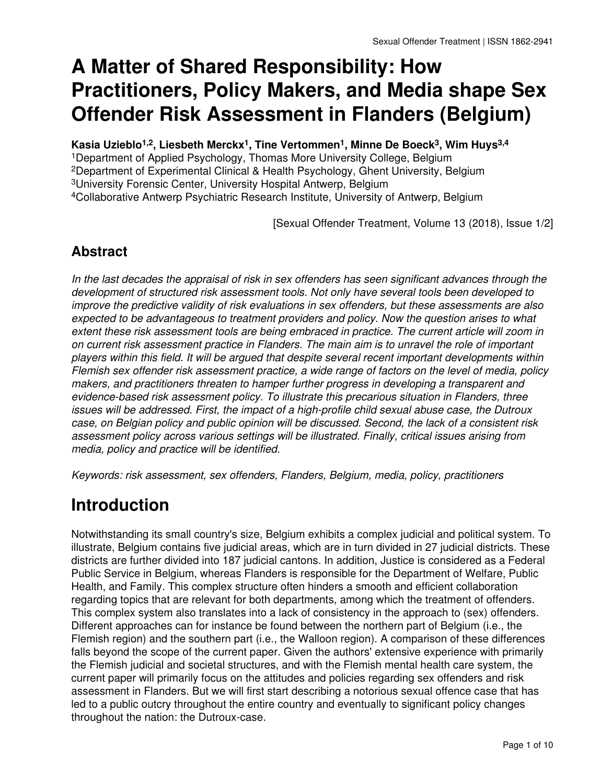# **A Matter of Shared Responsibility: How Practitioners, Policy Makers, and Media shape Sex Offender Risk Assessment in Flanders (Belgium)**

**Kasia Uzieblo1,2, Liesbeth Merckx1, Tine Vertommen1, Minne De Boeck3, Wim Huys3,4**

Department of Applied Psychology, Thomas More University College, Belgium Department of Experimental Clinical & Health Psychology, Ghent University, Belgium University Forensic Center, University Hospital Antwerp, Belgium Collaborative Antwerp Psychiatric Research Institute, University of Antwerp, Belgium

[Sexual Offender Treatment, Volume 13 (2018), Issue 1/2]

#### **Abstract**

*In the last decades the appraisal of risk in sex offenders has seen significant advances through the development of structured risk assessment tools. Not only have several tools been developed to improve the predictive validity of risk evaluations in sex offenders, but these assessments are also expected to be advantageous to treatment providers and policy. Now the question arises to what extent these risk assessment tools are being embraced in practice. The current article will zoom in on current risk assessment practice in Flanders. The main aim is to unravel the role of important players within this field. It will be argued that despite several recent important developments within Flemish sex offender risk assessment practice, a wide range of factors on the level of media, policy makers, and practitioners threaten to hamper further progress in developing a transparent and evidence-based risk assessment policy. To illustrate this precarious situation in Flanders, three issues will be addressed. First, the impact of a high-profile child sexual abuse case, the Dutroux case, on Belgian policy and public opinion will be discussed. Second, the lack of a consistent risk assessment policy across various settings will be illustrated. Finally, critical issues arising from media, policy and practice will be identified.*

*Keywords: risk assessment, sex offenders, Flanders, Belgium, media, policy, practitioners*

# **Introduction**

Notwithstanding its small country's size, Belgium exhibits a complex judicial and political system. To illustrate, Belgium contains five judicial areas, which are in turn divided in 27 judicial districts. These districts are further divided into 187 judicial cantons. In addition, Justice is considered as a Federal Public Service in Belgium, whereas Flanders is responsible for the Department of Welfare, Public Health, and Family. This complex structure often hinders a smooth and efficient collaboration regarding topics that are relevant for both departments, among which the treatment of offenders. This complex system also translates into a lack of consistency in the approach to (sex) offenders. Different approaches can for instance be found between the northern part of Belgium (i.e., the Flemish region) and the southern part (i.e., the Walloon region). A comparison of these differences falls beyond the scope of the current paper. Given the authors' extensive experience with primarily the Flemish judicial and societal structures, and with the Flemish mental health care system, the current paper will primarily focus on the attitudes and policies regarding sex offenders and risk assessment in Flanders. But we will first start describing a notorious sexual offence case that has led to a public outcry throughout the entire country and eventually to significant policy changes throughout the nation: the Dutroux-case.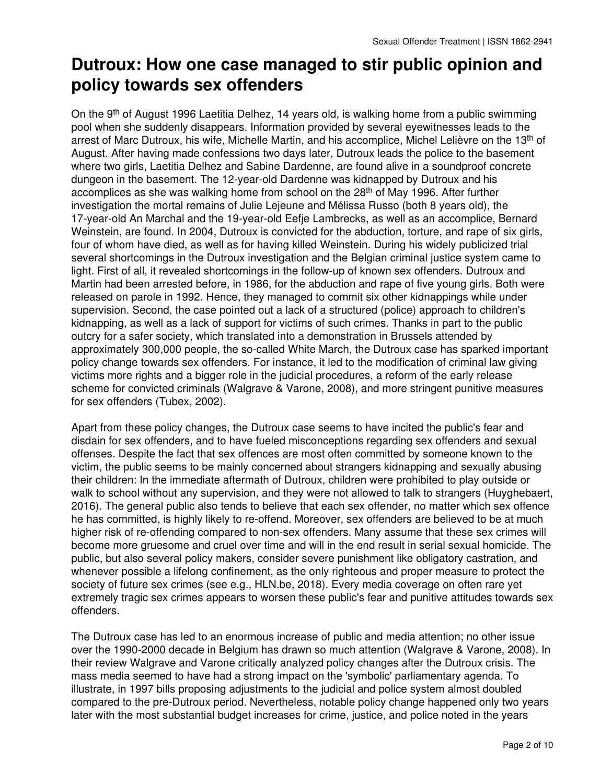# **Dutroux: How one case managed to stir public opinion and policy towards sex offenders**

On the 9th of August 1996 Laetitia Delhez, 14 years old, is walking home from a public swimming pool when she suddenly disappears. Information provided by several eyewitnesses leads to the arrest of Marc Dutroux, his wife, Michelle Martin, and his accomplice, Michel Lelièvre on the 13th of August. After having made confessions two days later, Dutroux leads the police to the basement where two girls, Laetitia Delhez and Sabine Dardenne, are found alive in a soundproof concrete dungeon in the basement. The 12-year-old Dardenne was kidnapped by Dutroux and his accomplices as she was walking home from school on the 28th of May 1996. After further investigation the mortal remains of Julie Lejeune and Mélissa Russo (both 8 years old), the 17-year-old An Marchal and the 19-year-old Eefje Lambrecks, as well as an accomplice, Bernard Weinstein, are found. In 2004, Dutroux is convicted for the abduction, torture, and rape of six girls, four of whom have died, as well as for having killed Weinstein. During his widely publicized trial several shortcomings in the Dutroux investigation and the Belgian criminal justice system came to light. First of all, it revealed shortcomings in the follow-up of known sex offenders. Dutroux and Martin had been arrested before, in 1986, for the abduction and rape of five young girls. Both were released on parole in 1992. Hence, they managed to commit six other kidnappings while under supervision. Second, the case pointed out a lack of a structured (police) approach to children's kidnapping, as well as a lack of support for victims of such crimes. Thanks in part to the public outcry for a safer society, which translated into a demonstration in Brussels attended by approximately 300,000 people, the so-called White March, the Dutroux case has sparked important policy change towards sex offenders. For instance, it led to the modification of criminal law giving victims more rights and a bigger role in the judicial procedures, a reform of the early release scheme for convicted criminals (Walgrave & Varone, 2008), and more stringent punitive measures for sex offenders (Tubex, 2002).

Apart from these policy changes, the Dutroux case seems to have incited the public's fear and disdain for sex offenders, and to have fueled misconceptions regarding sex offenders and sexual offenses. Despite the fact that sex offences are most often committed by someone known to the victim, the public seems to be mainly concerned about strangers kidnapping and sexually abusing their children: In the immediate aftermath of Dutroux, children were prohibited to play outside or walk to school without any supervision, and they were not allowed to talk to strangers (Huyghebaert, 2016). The general public also tends to believe that each sex offender, no matter which sex offence he has committed, is highly likely to re-offend. Moreover, sex offenders are believed to be at much higher risk of re-offending compared to non-sex offenders. Many assume that these sex crimes will become more gruesome and cruel over time and will in the end result in serial sexual homicide. The public, but also several policy makers, consider severe punishment like obligatory castration, and whenever possible a lifelong confinement, as the only righteous and proper measure to protect the society of future sex crimes (see e.g., HLN.be, 2018). Every media coverage on often rare yet extremely tragic sex crimes appears to worsen these public's fear and punitive attitudes towards sex offenders.

The Dutroux case has led to an enormous increase of public and media attention; no other issue over the 1990-2000 decade in Belgium has drawn so much attention (Walgrave & Varone, 2008). In their review Walgrave and Varone critically analyzed policy changes after the Dutroux crisis. The mass media seemed to have had a strong impact on the 'symbolic' parliamentary agenda. To illustrate, in 1997 bills proposing adjustments to the judicial and police system almost doubled compared to the pre-Dutroux period. Nevertheless, notable policy change happened only two years later with the most substantial budget increases for crime, justice, and police noted in the years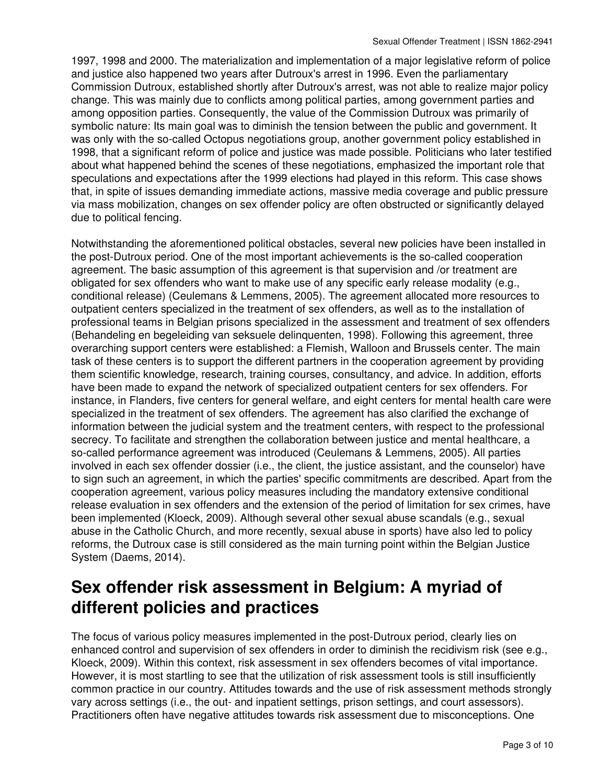1997, 1998 and 2000. The materialization and implementation of a major legislative reform of police and justice also happened two years after Dutroux's arrest in 1996. Even the parliamentary Commission Dutroux, established shortly after Dutroux's arrest, was not able to realize major policy change. This was mainly due to conflicts among political parties, among government parties and among opposition parties. Consequently, the value of the Commission Dutroux was primarily of symbolic nature: Its main goal was to diminish the tension between the public and government. It was only with the so-called Octopus negotiations group, another government policy established in 1998, that a significant reform of police and justice was made possible. Politicians who later testified about what happened behind the scenes of these negotiations, emphasized the important role that speculations and expectations after the 1999 elections had played in this reform. This case shows that, in spite of issues demanding immediate actions, massive media coverage and public pressure via mass mobilization, changes on sex offender policy are often obstructed or significantly delayed due to political fencing.

Notwithstanding the aforementioned political obstacles, several new policies have been installed in the post-Dutroux period. One of the most important achievements is the so-called cooperation agreement. The basic assumption of this agreement is that supervision and /or treatment are obligated for sex offenders who want to make use of any specific early release modality (e.g., conditional release) (Ceulemans & Lemmens, 2005). The agreement allocated more resources to outpatient centers specialized in the treatment of sex offenders, as well as to the installation of professional teams in Belgian prisons specialized in the assessment and treatment of sex offenders (Behandeling en begeleiding van seksuele delinquenten, 1998). Following this agreement, three overarching support centers were established: a Flemish, Walloon and Brussels center. The main task of these centers is to support the different partners in the cooperation agreement by providing them scientific knowledge, research, training courses, consultancy, and advice. In addition, efforts have been made to expand the network of specialized outpatient centers for sex offenders. For instance, in Flanders, five centers for general welfare, and eight centers for mental health care were specialized in the treatment of sex offenders. The agreement has also clarified the exchange of information between the judicial system and the treatment centers, with respect to the professional secrecy. To facilitate and strengthen the collaboration between justice and mental healthcare, a so-called performance agreement was introduced (Ceulemans & Lemmens, 2005). All parties involved in each sex offender dossier (i.e., the client, the justice assistant, and the counselor) have to sign such an agreement, in which the parties' specific commitments are described. Apart from the cooperation agreement, various policy measures including the mandatory extensive conditional release evaluation in sex offenders and the extension of the period of limitation for sex crimes, have been implemented (Kloeck, 2009). Although several other sexual abuse scandals (e.g., sexual abuse in the Catholic Church, and more recently, sexual abuse in sports) have also led to policy reforms, the Dutroux case is still considered as the main turning point within the Belgian Justice System (Daems, 2014).

## **Sex offender risk assessment in Belgium: A myriad of different policies and practices**

The focus of various policy measures implemented in the post-Dutroux period, clearly lies on enhanced control and supervision of sex offenders in order to diminish the recidivism risk (see e.g., Kloeck, 2009). Within this context, risk assessment in sex offenders becomes of vital importance. However, it is most startling to see that the utilization of risk assessment tools is still insufficiently common practice in our country. Attitudes towards and the use of risk assessment methods strongly vary across settings (i.e., the out- and inpatient settings, prison settings, and court assessors). Practitioners often have negative attitudes towards risk assessment due to misconceptions. One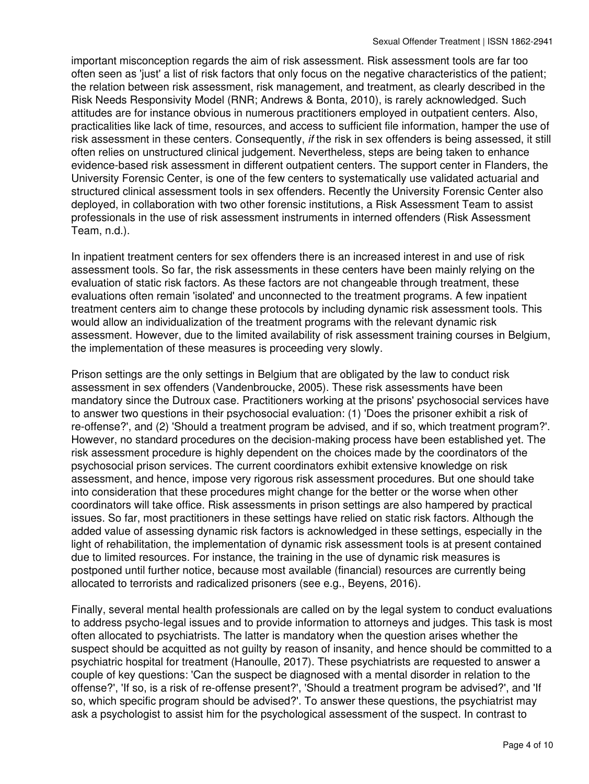important misconception regards the aim of risk assessment. Risk assessment tools are far too often seen as 'just' a list of risk factors that only focus on the negative characteristics of the patient; the relation between risk assessment, risk management, and treatment, as clearly described in the Risk Needs Responsivity Model (RNR; Andrews & Bonta, 2010), is rarely acknowledged. Such attitudes are for instance obvious in numerous practitioners employed in outpatient centers. Also, practicalities like lack of time, resources, and access to sufficient file information, hamper the use of risk assessment in these centers. Consequently, *if* the risk in sex offenders is being assessed, it still often relies on unstructured clinical judgement. Nevertheless, steps are being taken to enhance evidence-based risk assessment in different outpatient centers. The support center in Flanders, the University Forensic Center, is one of the few centers to systematically use validated actuarial and structured clinical assessment tools in sex offenders. Recently the University Forensic Center also deployed, in collaboration with two other forensic institutions, a Risk Assessment Team to assist professionals in the use of risk assessment instruments in interned offenders (Risk Assessment Team, n.d.).

In inpatient treatment centers for sex offenders there is an increased interest in and use of risk assessment tools. So far, the risk assessments in these centers have been mainly relying on the evaluation of static risk factors. As these factors are not changeable through treatment, these evaluations often remain 'isolated' and unconnected to the treatment programs. A few inpatient treatment centers aim to change these protocols by including dynamic risk assessment tools. This would allow an individualization of the treatment programs with the relevant dynamic risk assessment. However, due to the limited availability of risk assessment training courses in Belgium, the implementation of these measures is proceeding very slowly.

Prison settings are the only settings in Belgium that are obligated by the law to conduct risk assessment in sex offenders (Vandenbroucke, 2005). These risk assessments have been mandatory since the Dutroux case. Practitioners working at the prisons' psychosocial services have to answer two questions in their psychosocial evaluation: (1) 'Does the prisoner exhibit a risk of re-offense?', and (2) 'Should a treatment program be advised, and if so, which treatment program?'. However, no standard procedures on the decision-making process have been established yet. The risk assessment procedure is highly dependent on the choices made by the coordinators of the psychosocial prison services. The current coordinators exhibit extensive knowledge on risk assessment, and hence, impose very rigorous risk assessment procedures. But one should take into consideration that these procedures might change for the better or the worse when other coordinators will take office. Risk assessments in prison settings are also hampered by practical issues. So far, most practitioners in these settings have relied on static risk factors. Although the added value of assessing dynamic risk factors is acknowledged in these settings, especially in the light of rehabilitation, the implementation of dynamic risk assessment tools is at present contained due to limited resources. For instance, the training in the use of dynamic risk measures is postponed until further notice, because most available (financial) resources are currently being allocated to terrorists and radicalized prisoners (see e.g., Beyens, 2016).

Finally, several mental health professionals are called on by the legal system to conduct evaluations to address psycho-legal issues and to provide information to attorneys and judges. This task is most often allocated to psychiatrists. The latter is mandatory when the question arises whether the suspect should be acquitted as not guilty by reason of insanity, and hence should be committed to a psychiatric hospital for treatment (Hanoulle, 2017). These psychiatrists are requested to answer a couple of key questions: 'Can the suspect be diagnosed with a mental disorder in relation to the offense?', 'If so, is a risk of re-offense present?', 'Should a treatment program be advised?', and 'If so, which specific program should be advised?'. To answer these questions, the psychiatrist may ask a psychologist to assist him for the psychological assessment of the suspect. In contrast to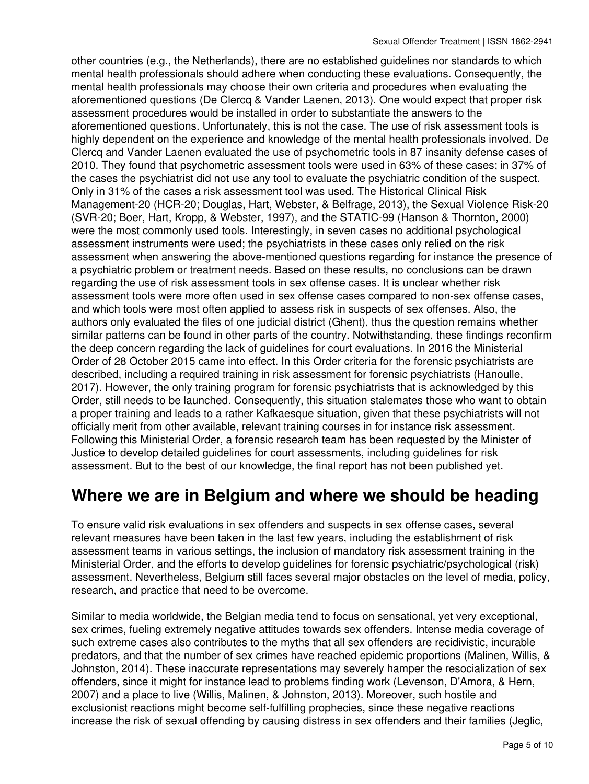other countries (e.g., the Netherlands), there are no established guidelines nor standards to which mental health professionals should adhere when conducting these evaluations. Consequently, the mental health professionals may choose their own criteria and procedures when evaluating the aforementioned questions (De Clercq & Vander Laenen, 2013). One would expect that proper risk assessment procedures would be installed in order to substantiate the answers to the aforementioned questions. Unfortunately, this is not the case. The use of risk assessment tools is highly dependent on the experience and knowledge of the mental health professionals involved. De Clercq and Vander Laenen evaluated the use of psychometric tools in 87 insanity defense cases of 2010. They found that psychometric assessment tools were used in 63% of these cases; in 37% of the cases the psychiatrist did not use any tool to evaluate the psychiatric condition of the suspect. Only in 31% of the cases a risk assessment tool was used. The Historical Clinical Risk Management-20 (HCR-20; Douglas, Hart, Webster, & Belfrage, 2013), the Sexual Violence Risk-20 (SVR-20; Boer, Hart, Kropp, & Webster, 1997), and the STATIC-99 (Hanson & Thornton, 2000) were the most commonly used tools. Interestingly, in seven cases no additional psychological assessment instruments were used; the psychiatrists in these cases only relied on the risk assessment when answering the above-mentioned questions regarding for instance the presence of a psychiatric problem or treatment needs. Based on these results, no conclusions can be drawn regarding the use of risk assessment tools in sex offense cases. It is unclear whether risk assessment tools were more often used in sex offense cases compared to non-sex offense cases, and which tools were most often applied to assess risk in suspects of sex offenses. Also, the authors only evaluated the files of one judicial district (Ghent), thus the question remains whether similar patterns can be found in other parts of the country. Notwithstanding, these findings reconfirm the deep concern regarding the lack of guidelines for court evaluations. In 2016 the Ministerial Order of 28 October 2015 came into effect. In this Order criteria for the forensic psychiatrists are described, including a required training in risk assessment for forensic psychiatrists (Hanoulle, 2017). However, the only training program for forensic psychiatrists that is acknowledged by this Order, still needs to be launched. Consequently, this situation stalemates those who want to obtain a proper training and leads to a rather Kafkaesque situation, given that these psychiatrists will not officially merit from other available, relevant training courses in for instance risk assessment. Following this Ministerial Order, a forensic research team has been requested by the Minister of Justice to develop detailed guidelines for court assessments, including guidelines for risk assessment. But to the best of our knowledge, the final report has not been published yet.

#### **Where we are in Belgium and where we should be heading**

To ensure valid risk evaluations in sex offenders and suspects in sex offense cases, several relevant measures have been taken in the last few years, including the establishment of risk assessment teams in various settings, the inclusion of mandatory risk assessment training in the Ministerial Order, and the efforts to develop guidelines for forensic psychiatric/psychological (risk) assessment. Nevertheless, Belgium still faces several major obstacles on the level of media, policy, research, and practice that need to be overcome.

Similar to media worldwide, the Belgian media tend to focus on sensational, yet very exceptional, sex crimes, fueling extremely negative attitudes towards sex offenders. Intense media coverage of such extreme cases also contributes to the myths that all sex offenders are recidivistic, incurable predators, and that the number of sex crimes have reached epidemic proportions (Malinen, Willis, & Johnston, 2014). These inaccurate representations may severely hamper the resocialization of sex offenders, since it might for instance lead to problems finding work (Levenson, D'Amora, & Hern, 2007) and a place to live (Willis, Malinen, & Johnston, 2013). Moreover, such hostile and exclusionist reactions might become self-fulfilling prophecies, since these negative reactions increase the risk of sexual offending by causing distress in sex offenders and their families (Jeglic,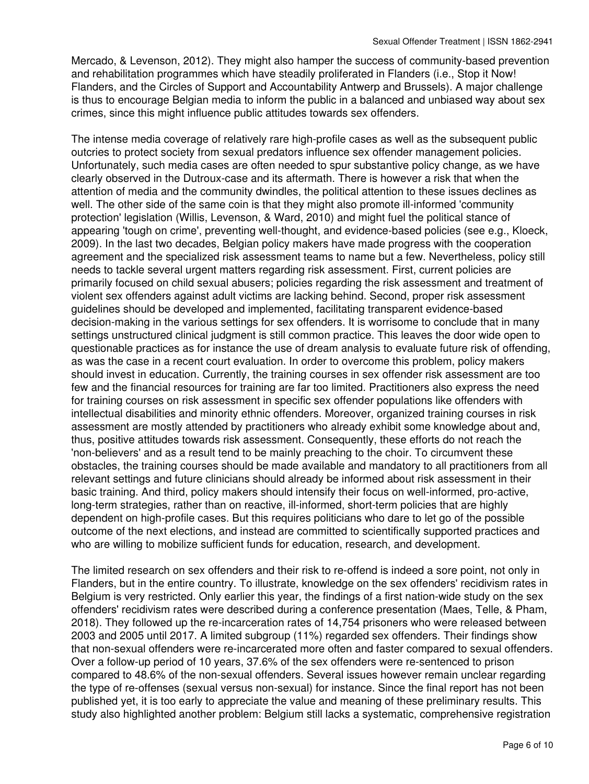Mercado, & Levenson, 2012). They might also hamper the success of community-based prevention and rehabilitation programmes which have steadily proliferated in Flanders (i.e., Stop it Now! Flanders, and the Circles of Support and Accountability Antwerp and Brussels). A major challenge is thus to encourage Belgian media to inform the public in a balanced and unbiased way about sex crimes, since this might influence public attitudes towards sex offenders.

The intense media coverage of relatively rare high-profile cases as well as the subsequent public outcries to protect society from sexual predators influence sex offender management policies. Unfortunately, such media cases are often needed to spur substantive policy change, as we have clearly observed in the Dutroux-case and its aftermath. There is however a risk that when the attention of media and the community dwindles, the political attention to these issues declines as well. The other side of the same coin is that they might also promote ill-informed 'community protection' legislation (Willis, Levenson, & Ward, 2010) and might fuel the political stance of appearing 'tough on crime', preventing well-thought, and evidence-based policies (see e.g., Kloeck, 2009). In the last two decades, Belgian policy makers have made progress with the cooperation agreement and the specialized risk assessment teams to name but a few. Nevertheless, policy still needs to tackle several urgent matters regarding risk assessment. First, current policies are primarily focused on child sexual abusers; policies regarding the risk assessment and treatment of violent sex offenders against adult victims are lacking behind. Second, proper risk assessment guidelines should be developed and implemented, facilitating transparent evidence-based decision-making in the various settings for sex offenders. It is worrisome to conclude that in many settings unstructured clinical judgment is still common practice. This leaves the door wide open to questionable practices as for instance the use of dream analysis to evaluate future risk of offending, as was the case in a recent court evaluation. In order to overcome this problem, policy makers should invest in education. Currently, the training courses in sex offender risk assessment are too few and the financial resources for training are far too limited. Practitioners also express the need for training courses on risk assessment in specific sex offender populations like offenders with intellectual disabilities and minority ethnic offenders. Moreover, organized training courses in risk assessment are mostly attended by practitioners who already exhibit some knowledge about and, thus, positive attitudes towards risk assessment. Consequently, these efforts do not reach the 'non-believers' and as a result tend to be mainly preaching to the choir. To circumvent these obstacles, the training courses should be made available and mandatory to all practitioners from all relevant settings and future clinicians should already be informed about risk assessment in their basic training. And third, policy makers should intensify their focus on well-informed, pro-active, long-term strategies, rather than on reactive, ill-informed, short-term policies that are highly dependent on high-profile cases. But this requires politicians who dare to let go of the possible outcome of the next elections, and instead are committed to scientifically supported practices and who are willing to mobilize sufficient funds for education, research, and development.

The limited research on sex offenders and their risk to re-offend is indeed a sore point, not only in Flanders, but in the entire country. To illustrate, knowledge on the sex offenders' recidivism rates in Belgium is very restricted. Only earlier this year, the findings of a first nation-wide study on the sex offenders' recidivism rates were described during a conference presentation (Maes, Telle, & Pham, 2018). They followed up the re-incarceration rates of 14,754 prisoners who were released between 2003 and 2005 until 2017. A limited subgroup (11%) regarded sex offenders. Their findings show that non-sexual offenders were re-incarcerated more often and faster compared to sexual offenders. Over a follow-up period of 10 years, 37.6% of the sex offenders were re-sentenced to prison compared to 48.6% of the non-sexual offenders. Several issues however remain unclear regarding the type of re-offenses (sexual versus non-sexual) for instance. Since the final report has not been published yet, it is too early to appreciate the value and meaning of these preliminary results. This study also highlighted another problem: Belgium still lacks a systematic, comprehensive registration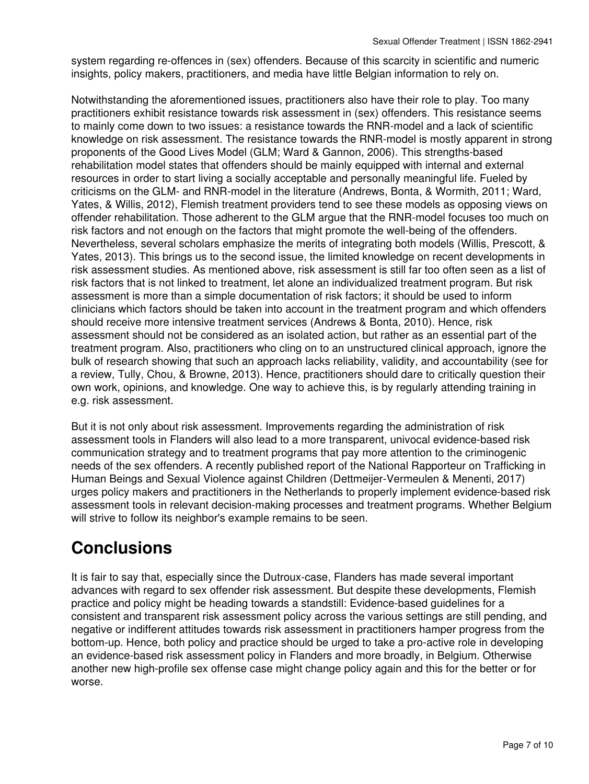system regarding re-offences in (sex) offenders. Because of this scarcity in scientific and numeric insights, policy makers, practitioners, and media have little Belgian information to rely on.

Notwithstanding the aforementioned issues, practitioners also have their role to play. Too many practitioners exhibit resistance towards risk assessment in (sex) offenders. This resistance seems to mainly come down to two issues: a resistance towards the RNR-model and a lack of scientific knowledge on risk assessment. The resistance towards the RNR-model is mostly apparent in strong proponents of the Good Lives Model (GLM; Ward & Gannon, 2006). This strengths-based rehabilitation model states that offenders should be mainly equipped with internal and external resources in order to start living a socially acceptable and personally meaningful life. Fueled by criticisms on the GLM- and RNR-model in the literature (Andrews, Bonta, & Wormith, 2011; Ward, Yates, & Willis, 2012), Flemish treatment providers tend to see these models as opposing views on offender rehabilitation. Those adherent to the GLM argue that the RNR-model focuses too much on risk factors and not enough on the factors that might promote the well-being of the offenders. Nevertheless, several scholars emphasize the merits of integrating both models (Willis, Prescott, & Yates, 2013). This brings us to the second issue, the limited knowledge on recent developments in risk assessment studies. As mentioned above, risk assessment is still far too often seen as a list of risk factors that is not linked to treatment, let alone an individualized treatment program. But risk assessment is more than a simple documentation of risk factors; it should be used to inform clinicians which factors should be taken into account in the treatment program and which offenders should receive more intensive treatment services (Andrews & Bonta, 2010). Hence, risk assessment should not be considered as an isolated action, but rather as an essential part of the treatment program. Also, practitioners who cling on to an unstructured clinical approach, ignore the bulk of research showing that such an approach lacks reliability, validity, and accountability (see for a review, Tully, Chou, & Browne, 2013). Hence, practitioners should dare to critically question their own work, opinions, and knowledge. One way to achieve this, is by regularly attending training in e.g. risk assessment.

But it is not only about risk assessment. Improvements regarding the administration of risk assessment tools in Flanders will also lead to a more transparent, univocal evidence-based risk communication strategy and to treatment programs that pay more attention to the criminogenic needs of the sex offenders. A recently published report of the National Rapporteur on Trafficking in Human Beings and Sexual Violence against Children (Dettmeijer-Vermeulen & Menenti, 2017) urges policy makers and practitioners in the Netherlands to properly implement evidence-based risk assessment tools in relevant decision-making processes and treatment programs. Whether Belgium will strive to follow its neighbor's example remains to be seen.

## **Conclusions**

It is fair to say that, especially since the Dutroux-case, Flanders has made several important advances with regard to sex offender risk assessment. But despite these developments, Flemish practice and policy might be heading towards a standstill: Evidence-based guidelines for a consistent and transparent risk assessment policy across the various settings are still pending, and negative or indifferent attitudes towards risk assessment in practitioners hamper progress from the bottom-up. Hence, both policy and practice should be urged to take a pro-active role in developing an evidence-based risk assessment policy in Flanders and more broadly, in Belgium. Otherwise another new high-profile sex offense case might change policy again and this for the better or for worse.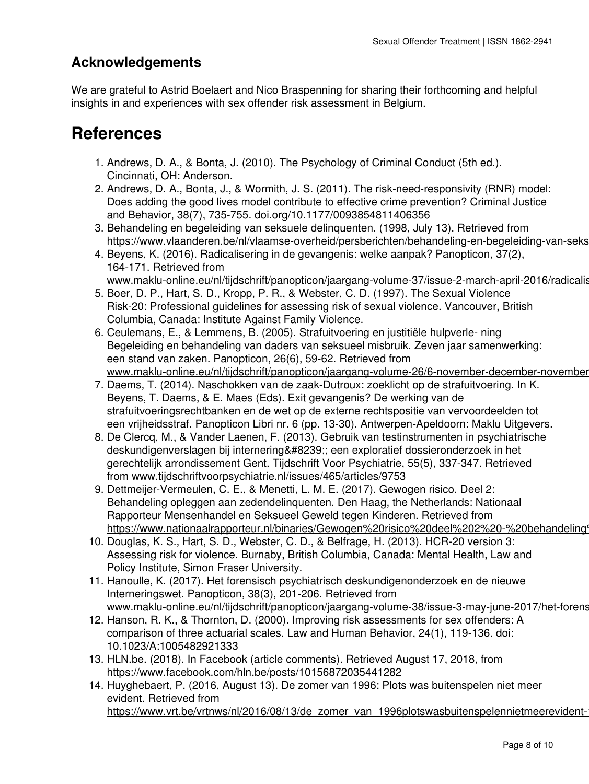#### **Acknowledgements**

We are grateful to Astrid Boelaert and Nico Braspenning for sharing their forthcoming and helpful insights in and experiences with sex offender risk assessment in Belgium.

#### **References**

- 1. Andrews, D. A., & Bonta, J. (2010). The Psychology of Criminal Conduct (5th ed.). Cincinnati, OH: Anderson.
- 2. Andrews, D. A., Bonta, J., & Wormith, J. S. (2011). The risk-need-responsivity (RNR) model: Does adding the good lives model contribute to effective crime prevention? Criminal Justice and Behavior, 38(7), 735-755. [doi.org/10.1177/0093854811406356](http://doi.org/10.1177/0093854811406356)
- Behandeling en begeleiding van seksuele delinquenten. (1998, July 13). Retrieved from 3. https://www.vlaanderen.be/nl/vlaamse-overheid/persberichten/behandeling-en-begeleiding-van-seks
- 4. Beyens, K. (2016). Radicalisering in de gevangenis: welke aanpak? Panopticon, 37(2), 164-171. Retrieved from www.maklu-online.eu/nl/tijdschrift/panopticon/jaargang-volume-37/issue-2-march-april-2016/radicalis
- 5. Boer, D. P., Hart, S. D., Kropp, P. R., & Webster, C. D. (1997). The Sexual Violence Risk-20: Professional guidelines for assessing risk of sexual violence. Vancouver, British Columbia, Canada: Institute Against Family Violence.
- 6. Ceulemans, E., & Lemmens, B. (2005). Strafuitvoering en justitiële hulpverle- ning Begeleiding en behandeling van daders van seksueel misbruik. Zeven jaar samenwerking: een stand van zaken. Panopticon, 26(6), 59-62. Retrieved from www.maklu-online.eu/nl/tijdschrift/panopticon/jaargang-volume-26/6-november-december-november
- 7. Daems, T. (2014). Naschokken van de zaak-Dutroux: zoeklicht op de strafuitvoering. In K. Beyens, T. Daems, & E. Maes (Eds). Exit gevangenis? De werking van de strafuitvoeringsrechtbanken en de wet op de externe rechtspositie van vervoordeelden tot een vrijheidsstraf. Panopticon Libri nr. 6 (pp. 13-30). Antwerpen-Apeldoorn: Maklu Uitgevers.
- 8. De Clercq, M., & Vander Laenen, F. (2013). Gebruik van testinstrumenten in psychiatrische deskundigenverslagen bij internering ; een exploratief dossieronderzoek in het gerechtelijk arrondissement Gent. Tijdschrift Voor Psychiatrie, 55(5), 337-347. Retrieved from [www.tijdschriftvoorpsychiatrie.nl/issues/465/articles/9753](http://www.tijdschriftvoorpsychiatrie.nl/issues/465/articles/9753)
- 9. Dettmeijer-Vermeulen, C. E., & Menetti, L. M. E. (2017). Gewogen risico. Deel 2: Behandeling opleggen aan zedendelinquenten. Den Haag, the Netherlands: Nationaal Rapporteur Mensenhandel en Seksueel Geweld tegen Kinderen. Retrieved from https://www.nationaalrapporteur.nl/binaries/Gewogen%20risico%20deel%202%20-%20behandeling
- 10. Douglas, K. S., Hart, S. D., Webster, C. D., & Belfrage, H. (2013). HCR-20 version 3: Assessing risk for violence. Burnaby, British Columbia, Canada: Mental Health, Law and Policy Institute, Simon Fraser University.
- 11. Hanoulle, K. (2017). Het forensisch psychiatrisch deskundigenonderzoek en de nieuwe Interneringswet. Panopticon, 38(3), 201-206. Retrieved from www.maklu-online.eu/nl/tijdschrift/panopticon/jaargang-volume-38/issue-3-may-june-2017/het-forens
- 12. Hanson, R. K., & Thornton, D. (2000). Improving risk assessments for sex offenders: A comparison of three actuarial scales. Law and Human Behavior, 24(1), 119-136. doi: 10.1023/A:1005482921333
- 13. HLN.be. (2018). In Facebook (article comments). Retrieved August 17, 2018, from <https://www.facebook.com/hln.be/posts/10156872035441282>
- 14. Huyghebaert, P. (2016, August 13). De zomer van 1996: Plots was buitenspelen niet meer evident. Retrieved from https://www.vrt.be/vrtnws/nl/2016/08/13/de\_zomer\_van\_1996plotswasbuitenspelennietmeerevident-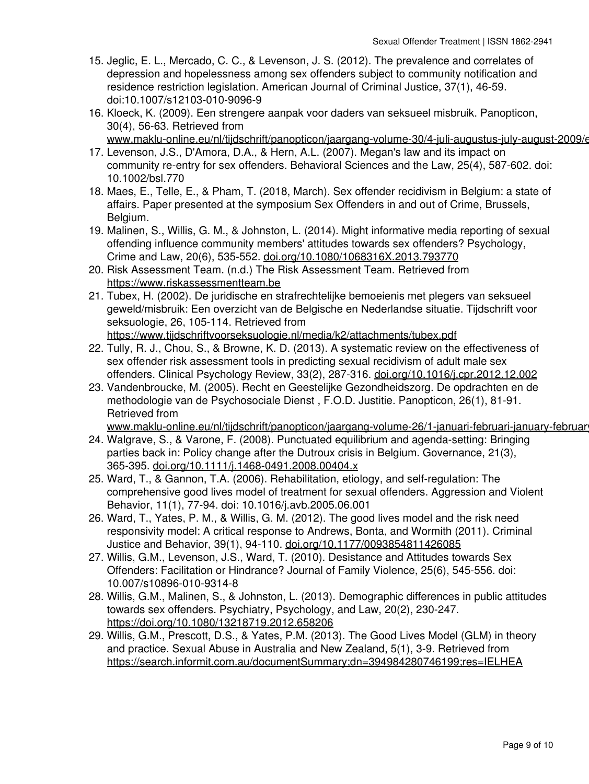- 15. Jeglic, E. L., Mercado, C. C., & Levenson, J. S. (2012). The prevalence and correlates of depression and hopelessness among sex offenders subject to community notification and residence restriction legislation. American Journal of Criminal Justice, 37(1), 46-59. doi:10.1007/s12103-010-9096-9
- 16. Kloeck, K. (2009). Een strengere aanpak voor daders van seksueel misbruik. Panopticon, 30(4), 56-63. Retrieved from www.maklu-online.eu/nl/tijdschrift/panopticon/jaargang-volume-30/4-juli-augustus-july-august-2009/e
- 17. Levenson, J.S., D'Amora, D.A., & Hern, A.L. (2007). Megan's law and its impact on community re-entry for sex offenders. Behavioral Sciences and the Law, 25(4), 587-602. doi: 10.1002/bsl.770
- 18. Maes, E., Telle, E., & Pham, T. (2018, March). Sex offender recidivism in Belgium: a state of affairs. Paper presented at the symposium Sex Offenders in and out of Crime, Brussels, Belgium.
- 19. Malinen, S., Willis, G. M., & Johnston, L. (2014). Might informative media reporting of sexual offending influence community members' attitudes towards sex offenders? Psychology, Crime and Law, 20(6), 535-552. [doi.org/10.1080/1068316X.2013.793770](http://doi.org/10.1080/1068316X.2013.793770)
- 20. Risk Assessment Team. (n.d.) The Risk Assessment Team. Retrieved from <https://www.riskassessmentteam.be>
- 21. Tubex, H. (2002). De juridische en strafrechtelijke bemoeienis met plegers van seksueel geweld/misbruik: Een overzicht van de Belgische en Nederlandse situatie. Tijdschrift voor seksuologie, 26, 105-114. Retrieved from <https://www.tijdschriftvoorseksuologie.nl/media/k2/attachments/tubex.pdf>
- 22. Tully, R. J., Chou, S., & Browne, K. D. (2013). A systematic review on the effectiveness of sex offender risk assessment tools in predicting sexual recidivism of adult male sex offenders. Clinical Psychology Review, 33(2), 287-316. [doi.org/10.1016/j.cpr.2012.12.002](http://doi.org/10.1016/j.cpr.2012.12.002)
- 23. Vandenbroucke, M. (2005). Recht en Geestelijke Gezondheidszorg. De opdrachten en de methodologie van de Psychosociale Dienst , F.O.D. Justitie. Panopticon, 26(1), 81-91. Retrieved from

www.maklu-online.eu/nl/tijdschrift/panopticon/jaargang-volume-26/1-januari-februari-january-februar

- Walgrave, S., & Varone, F. (2008). Punctuated equilibrium and agenda-setting: Bringing 24. parties back in: Policy change after the Dutroux crisis in Belgium. Governance, 21(3), 365-395. [doi.org/10.1111/j.1468-0491.2008.00404.x](http://doi.org/10.1111/j.1468-0491.2008.00404.x)
- 25. Ward, T., & Gannon, T.A. (2006). Rehabilitation, etiology, and self-regulation: The comprehensive good lives model of treatment for sexual offenders. Aggression and Violent Behavior, 11(1), 77-94. doi: 10.1016/j.avb.2005.06.001
- 26. Ward, T., Yates, P. M., & Willis, G. M. (2012). The good lives model and the risk need responsivity model: A critical response to Andrews, Bonta, and Wormith (2011). Criminal Justice and Behavior, 39(1), 94-110. [doi.org/10.1177/0093854811426085](http://doi.org/10.1177/0093854811426085)
- Willis, G.M., Levenson, J.S., Ward, T. (2010). Desistance and Attitudes towards Sex 27. Offenders: Facilitation or Hindrance? Journal of Family Violence, 25(6), 545-556. doi: 10.007/s10896-010-9314-8
- Willis, G.M., Malinen, S., & Johnston, L. (2013). Demographic differences in public attitudes 28. towards sex offenders. Psychiatry, Psychology, and Law, 20(2), 230-247. <https://doi.org/10.1080/13218719.2012.658206>
- Willis, G.M., Prescott, D.S., & Yates, P.M. (2013). The Good Lives Model (GLM) in theory 29. and practice. Sexual Abuse in Australia and New Zealand, 5(1), 3-9. Retrieved from <https://search.informit.com.au/documentSummary;dn=394984280746199;res=IELHEA>